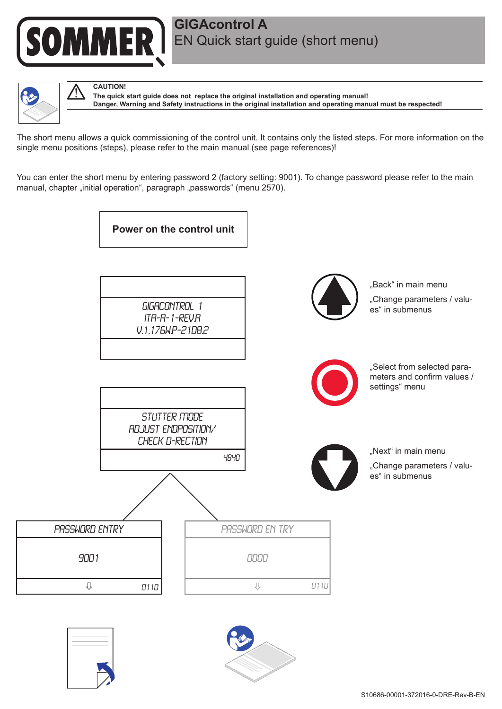

## **GIGAcontrol A** EN Quick start guide (short menu)



**CAUTION!**

**The quick start guide does not replace the original installation and operating manual! Danger, Warning and Safety instructions in the original installation and operating manual must be respected!**

The short menu allows a quick commissioning of the control unit. It contains only the listed steps. For more information on the single menu positions (steps), please refer to the main manual (see page references)!

You can enter the short menu by entering password 2 (factory setting: 9001). To change password please refer to the main manual, chapter "initial operation", paragraph "passwords" (menu 2570).

**Power on the control unit**